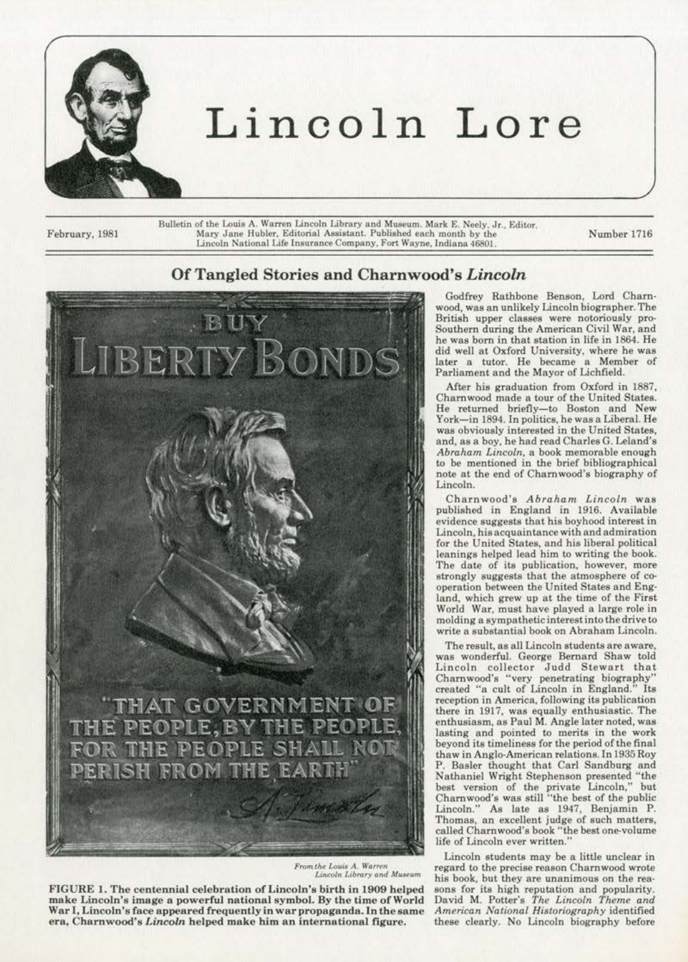

## Lincoln Lore

February, 1981

Bulletin of the Louis A. Warren Lincoln Library and Museum. Mark E. Neely, Jr., Editor. Mary Jane Hubler, Editorial Assistant. Published each month by the Lincoln National Life Insurance Company, Fort Wayne, Indiana 46801.

Number 1716

## Of Tangled Stories and Charnwood's *Lincoln*



 $From the Louis A. Warren$ Lincoln Library and Museum

FIGURE I. The centennial celebration of Lincoln's birth in 1909 helped make Lincoln's image a powerful national symbol. By the time of World War I, Lincoln's face appeared frequently in war propaganda. In the same era, Charnwood's *Lincoln* helped make him an international figure.

Godfrey Rathbone Benson, Lord Chamwood, was an unlikely Lincoln biographer. The British upper classes were notoriously pro-Southern during the American Civil War, and he was born in that station in life in 1864. He did well at Oxford University, where he was later a tutor. He became a Member of Parliament and the Mayor of Lichfield.

After his graduation from Oxford in 1887, Charnwood made a tour of the United States. He returned briefly-to Boston and New York-in 1894. In politics, he was a Liberal. He was obviously interested in the United States, and, as a boy, he had read Charles G. Leland's *Abro.ham Lincoln,* a book memorable enough to be mentioned in the brief bibliographical note at the end of Cham wood's biography of Lincoln.

Charnwood's *Abraham Lincoln* was published in England in 1916. Available evidence suggests that his boyhood interest in Lincoln, his acquaintance with and admiration for the United States, and his liberal political leanings helped lead him to writing the book. The date of its publication, however, more strongly suggests tbat the atmosphere of cooperation between the United States and Eng· land, which grew up at the time of the First World War, must have played a large role in molding a sympathetic interest into the drive to write a substantial book on Abraham Lincoln.

The result, as all Lincoln students are aware, was wonderful. George Bernard Shaw told Lincoln collector Judd Stewart that Charnwood's "very penetrating biography" created "a cult of Lincoln in England." Its reception in America, following its publication there in 1917, was equally enthusiastic. The enthusiasm, as Paul M. Angle later noted, was lasting and pointed to merits in the work beyond its timeliness for the period of the final thaw in Anglo-American relations. In 1935 Roy P. Basler thought that Carl Sandburg and Nathaniel Wright Stephenson presented "the best version of the private Lincoln," but Chamwood's was still "the best of the public Lincoln." As late as 1947, Benjamin P. Thomas, an excellent judge of such matters. called Charnwood's book "the best one-volume life of Lincoln ever written."

Lincoln students may be a little unclear in regard to the precise reason Charnwood wrote his book. but they are unanimous on the rea· sons for its high reputation and popularity. David M. Potter's *The Lincoln Theme and American National Historiography* identified these clearly. No Lincoln biography before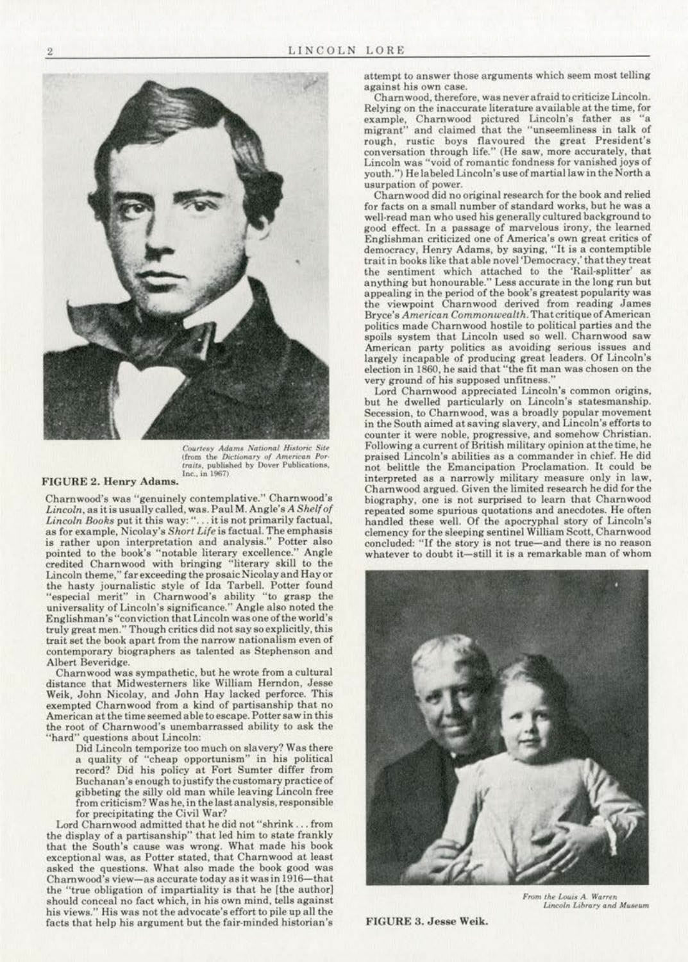

Courtesy Adams National Historic Site (from the Dictionary of American Por-<br>traits, published by Dover Publications, Inc., in 1967)

## **FIGURE 2. Henry Adams.**

Charnwood's was "genuinely contemplative." Charnwood's Lincoln, as it is usually called, was. Paul M. Angle's A Shelf of Lincoln Books put it this way: "... it is not primarily factual, as for example, Nicolay's Short Life is factual. The emphasis is rather upon interpretation and analysis." Potter also pointed to the book's "notable literary excellence." Angle<br>credited Charnwood with bringing "literary skill to the Lincoln theme," far exceeding the prosaic Nicolay and Hay or the hasty journalistic style of Ida Tarbell. Potter found<br>"especial merit" in Charnwood's ability "to grasp the<br>universality of Lincoln's significance." Angle also noted the Englishman's "conviction that Lincoln was one of the world's truly great men." Though critics did not say so explicitly, this trait set the book apart from the narrow nationalism even of contemporary biographers as talented as Stephenson and Albert Beveridge.

Charnwood was sympathetic, but he wrote from a cultural distance that Midwesterners like William Herndon, Jesse Weik, John Nicolay, and John Hay lacked perforce. This exempted Charnwood from a kind of partisanship that no American at the time seemed able to escape. Potter saw in this the root of Charnwood's unembarrassed ability to ask the "hard" questions about Lincoln:<br>Did Lincoln temporize too much on slavery? Was there

a quality of "cheap opportunism" in his political record? Did his policy at Fort Sumter differ from Buchanan's enough to justify the customary practice of gibbeting the silly old man while leaving Lincoln free from criticism? Was he, in the last analysis, responsible for precipitating the Civil War?

Lord Charnwood admitted that he did not "shrink ... from the display of a partisanship" that led him to state frankly that the South's cause was wrong. What made his book exceptional was, as Potter stated, that Charnwood at least asked the questions. What also made the book good was Charnwood's view-as accurate today as it was in 1916-that the "true obligation of impartiality is that he [the author] should conceal no fact which, in his own mind, tells against his views." His was not the advocate's effort to pile up all the facts that help his argument but the fair-minded historian's

attempt to answer those arguments which seem most telling against his own case.

Charnwood, therefore, was never afraid to criticize Lincoln. Relying on the inaccurate literature available at the time, for example, Charnwood pictured Lincoln's father as "a migrant" and claimed that the "unseemliness in talk of rough, rustic boys flavoured the great President's conversation through life." (He saw, more accurately, that Lincoln was "void of romantic fondness for vanished joys of youth.") He labeled Lincoln's use of martial law in the North a usurpation of power.

Charnwood did no original research for the book and relied for facts on a small number of standard works, but he was a well-read man who used his generally cultured background to good effect. In a passage of marvelous irony, the learned Englishman criticized one of America's own great critics of<br>democracy, Henry Adams, by saying, "It is a contemptible trait in books like that able novel 'Democracy,' that they treat the sentiment which attached to the 'Rail-splitter' as<br>anything but honourable." Less accurate in the long run but<br>appealing in the period of the book's greatest popularity was the viewpoint Charnwood derived from reading James Bryce's American Commonwealth. That critique of American politics made Charnwood hostile to political parties and the spoils system that Lincoln used so well. Charnwood saw American party politics as avoiding serious issues and largely incapable of producing great leaders. Of Lincoln's election in 1860, he said that "the fit man was chosen on the very ground of his supposed unfitness.'

Lord Charnwood appreciated Lincoln's common origins, but he dwelled particularly on Lincoln's statesmanship. Secession, to Charnwood, was a broadly popular movement in the South aimed at saving slavery, and Lincoln's efforts to counter it were noble, progressive, and somehow Christian. Following a current of British military opinion at the time, he praised Lincoln's abilities as a commander in chief. He did not belittle the Emancipation Proclamation. It could be interpreted as a narrowly military measure only in law, Charnwood argued. Given the limited research he did for the biography, one is not surprised to learn that Charnwood repeated some spurious quotations and anecdotes. He often handled these well. Of the apocryphal story of Lincoln's<br>clemency for the sleeping sentinel William Scott, Charnwood concluded: "If the story is not true-and there is no reason whatever to doubt it-still it is a remarkable man of whom



From the Louis A. Warren Lincoln Library and Museum

FIGURE 3. Jesse Weik.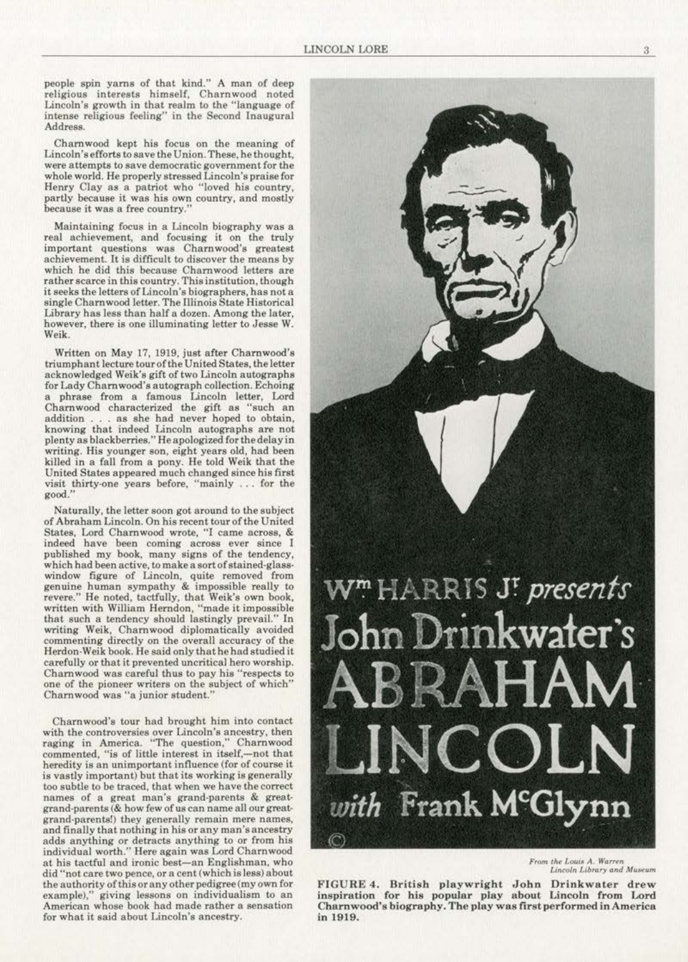people spin yarns of that kind." A man of deep religious interests himself. Charnwood noted Lincoln's growth in that realm to the "language of intense religious feeling" in the Second Inaugural Address.

Chamwood kept his focus on the meaning of were attempts to save democratic government for the whole world. He properly stressed Lincoln's praise for Henry Clay as a patriot who "loved his country, partly because it was his own country, and mostly because it was a free country."

Maintaining focus in a Lincoln biography was a real achievement, and focusing it on the truJy important questions was Charnwood's greatest achievement. It is difficult to discover the means by which he did this because Charnwood letters are rather scarce in this country. This institution, though it seeks the letters of Lincoln's biographers, has not a single Charnwood letter. The Illinois State Historical Library has less than half a dozen. Among the later. however, there is one illuminating letter to Jesse W. Weik.

Written on May 17, 1919, just after Charnwood's triumphant lecture tour of the United States, the letter acknowledged Weik's gift of two Lincoln autographs for Lady Cham wood's autograph collection. Echoing a phrase from a famous Lincoln letter, Lord<br>Charnwood characterized the gift as "such an Charnwood characterized the gift as "such an addition . . . as she had never hoped to obtain, knowing that indeed Lincoln autographs are not plenty as blackberries." He apologized for the delay in writing. His younger son, eight years old, had been killed in a fall from a pony. He told Weik that the United States appeared much changed since his first visit thirty-one years before. "mainly ... for the good."

Naturally, the letter soon got around to the subject of Abraham Lincoln. On his recent tour of the United States, Lord Charnwood wrote, "I came across, & indeed have been coming across ever since I published my book, many signs of the tendency, which had been active, to make a sort of stained·glass· window figure of Lincoln, quite removed from genuine human sympathy & impossible really to revere." He noted. tactfully, that Weik's own book, written with William Herndon, "made it impossible that such a tendency should lastingly prevail." In writing Weik, Chamwood diplomatically avoided commenting directly on the overall accuracy of the Herdon·Weik book. He said only that he had studied it carefully or that it prevented uncritical hero worship. Cham wood was careful thus to pay his "respects to one of the pioneer writers on the subject of which" Chamwood was "a junior student."

Chamwood's tour had brought him into contact with the controversies over Lincoln's ancestry, then raging in America. "The question," Charnwood commented, "is of little interest in itself,-not that heredity is an unimportant influence (for of course it is vastly important) but that its working is generally too subtle to be traced, that when we have the correct names of a great man's grand-parents & greatgrand-parents (& how few of us can name all our greatgrand-parents!) they generally remain mere names, and finally that nothing in his or any man's ancestry adds anything or detracts anything to or from his individual worth." Here again was Lord Charnwood at his tactful and ironic best-an Englishman, who did "not care two pence, or a cent(which is less) about the authority of this or any other pedigree(my own for example)," giving lessons on individualism to an American whose book had made rather a sensation for what it said about Lincoln's ancestry.



From the Louis A. Warren Lincoln Library and Museum

FIGURE 4. British playwright John Drinkwater drew inspiration for his popular play about Lincoln from Lord Charnwood's biography. The play was first performed in America in 1919.